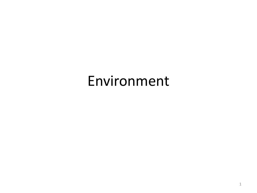## Environment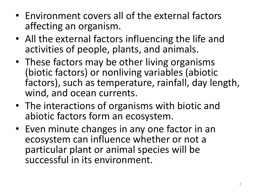- Environment covers all of the external factors affecting an organism.
- All the external factors influencing the life and activities of people, plants, and animals.
- These factors may be other living organisms (biotic factors) or nonliving variables (abiotic factors), such as temperature, rainfall, day length, wind, and ocean currents.
- The interactions of organisms with biotic and abiotic factors form an ecosystem.
- Even minute changes in any one factor in an ecosystem can influence whether or not a particular plant or animal species will be successful in its environment.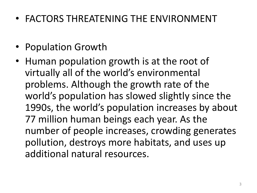- FACTORS THREATENING THE ENVIRONMENT
- Population Growth
- Human population growth is at the root of virtually all of the world's environmental problems. Although the growth rate of the world's population has slowed slightly since the 1990s, the world's population increases by about 77 million human beings each year. As the number of people increases, crowding generates pollution, destroys more habitats, and uses up additional natural resources.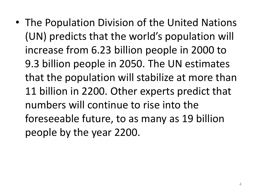• The Population Division of the United Nations (UN) predicts that the world's population will increase from 6.23 billion people in 2000 to 9.3 billion people in 2050. The UN estimates that the population will stabilize at more than 11 billion in 2200. Other experts predict that numbers will continue to rise into the foreseeable future, to as many as 19 billion people by the year 2200.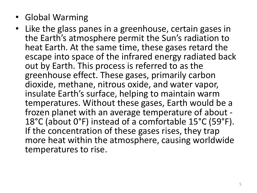- Global Warming
- Like the glass panes in a greenhouse, certain gases in the Earth's atmosphere permit the Sun's radiation to heat Earth. At the same time, these gases retard the escape into space of the infrared energy radiated back out by Earth. This process is referred to as the greenhouse effect. These gases, primarily carbon dioxide, methane, nitrous oxide, and water vapor, insulate Earth's surface, helping to maintain warm temperatures. Without these gases, Earth would be a frozen planet with an average temperature of about - 18°C (about 0°F) instead of a comfortable 15°C (59°F). If the concentration of these gases rises, they trap more heat within the atmosphere, causing worldwide temperatures to rise.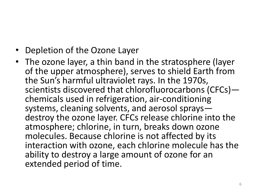- Depletion of the Ozone Layer
- The ozone layer, a thin band in the stratosphere (layer of the upper atmosphere), serves to shield Earth from the Sun's harmful ultraviolet rays. In the 1970s, scientists discovered that chlorofluorocarbons (CFCs) chemicals used in refrigeration, air-conditioning systems, cleaning solvents, and aerosol sprays destroy the ozone layer. CFCs release chlorine into the atmosphere; chlorine, in turn, breaks down ozone molecules. Because chlorine is not affected by its interaction with ozone, each chlorine molecule has the ability to destroy a large amount of ozone for an extended period of time.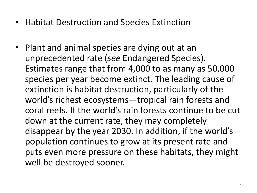- Habitat Destruction and Species Extinction
- Plant and animal species are dying out at an unprecedented rate (*see* Endangered Species). Estimates range that from 4,000 to as many as 50,000 species per year become extinct. The leading cause of extinction is habitat destruction, particularly of the world's richest ecosystems—tropical rain forests and coral reefs. If the world's rain forests continue to be cut down at the current rate, they may completely disappear by the year 2030. In addition, if the world's population continues to grow at its present rate and puts even more pressure on these habitats, they might well be destroyed sooner.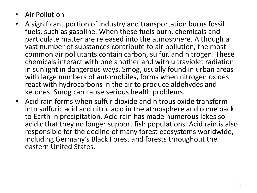- Air Pollution
- A significant portion of industry and transportation burns fossil fuels, such as gasoline. When these fuels burn, chemicals and particulate matter are released into the atmosphere. Although a vast number of substances contribute to air pollution, the most common air pollutants contain carbon, sulfur, and nitrogen. These chemicals interact with one another and with ultraviolet radiation in sunlight in dangerous ways. Smog, usually found in urban areas with large numbers of automobiles, forms when nitrogen oxides react with hydrocarbons in the air to produce aldehydes and ketones. Smog can cause serious health problems.
- Acid rain forms when sulfur dioxide and nitrous oxide transform into sulfuric acid and nitric acid in the atmosphere and come back to Earth in precipitation. Acid rain has made numerous lakes so acidic that they no longer support fish populations. Acid rain is also responsible for the decline of many forest ecosystems worldwide, including Germany's Black Forest and forests throughout the eastern United States.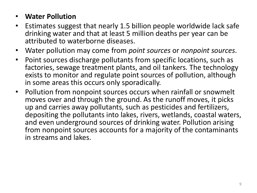## • **Water Pollution**

- Estimates suggest that nearly 1.5 billion people worldwide lack safe drinking water and that at least 5 million deaths per year can be attributed to waterborne diseases.
- Water pollution may come from *point sources* or *nonpoint sources*.
- Point sources discharge pollutants from specific locations, such as factories, sewage treatment plants, and oil tankers. The technology exists to monitor and regulate point sources of pollution, although in some areas this occurs only sporadically.
- Pollution from nonpoint sources occurs when rainfall or snowmelt moves over and through the ground. As the runoff moves, it picks up and carries away pollutants, such as pesticides and fertilizers, depositing the pollutants into lakes, rivers, wetlands, coastal waters, and even underground sources of drinking water. Pollution arising from nonpoint sources accounts for a majority of the contaminants in streams and lakes.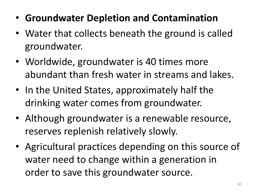- **Groundwater Depletion and Contamination**
- Water that collects beneath the ground is called groundwater.
- Worldwide, groundwater is 40 times more abundant than fresh water in streams and lakes.
- In the United States, approximately half the drinking water comes from groundwater.
- Although groundwater is a renewable resource, reserves replenish relatively slowly.
- Agricultural practices depending on this source of water need to change within a generation in order to save this groundwater source.